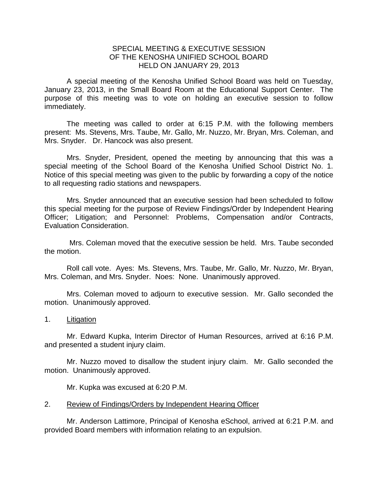## SPECIAL MEETING & EXECUTIVE SESSION OF THE KENOSHA UNIFIED SCHOOL BOARD HELD ON JANUARY 29, 2013

A special meeting of the Kenosha Unified School Board was held on Tuesday, January 23, 2013, in the Small Board Room at the Educational Support Center. The purpose of this meeting was to vote on holding an executive session to follow immediately.

The meeting was called to order at 6:15 P.M. with the following members present: Ms. Stevens, Mrs. Taube, Mr. Gallo, Mr. Nuzzo, Mr. Bryan, Mrs. Coleman, and Mrs. Snyder. Dr. Hancock was also present.

Mrs. Snyder, President, opened the meeting by announcing that this was a special meeting of the School Board of the Kenosha Unified School District No. 1. Notice of this special meeting was given to the public by forwarding a copy of the notice to all requesting radio stations and newspapers.

Mrs. Snyder announced that an executive session had been scheduled to follow this special meeting for the purpose of Review Findings/Order by Independent Hearing Officer; Litigation; and Personnel: Problems, Compensation and/or Contracts, Evaluation Consideration.

Mrs. Coleman moved that the executive session be held. Mrs. Taube seconded the motion.

Roll call vote. Ayes: Ms. Stevens, Mrs. Taube, Mr. Gallo, Mr. Nuzzo, Mr. Bryan, Mrs. Coleman, and Mrs. Snyder. Noes: None. Unanimously approved.

Mrs. Coleman moved to adjourn to executive session. Mr. Gallo seconded the motion. Unanimously approved.

1. Litigation

Mr. Edward Kupka, Interim Director of Human Resources, arrived at 6:16 P.M. and presented a student injury claim.

Mr. Nuzzo moved to disallow the student injury claim. Mr. Gallo seconded the motion. Unanimously approved.

Mr. Kupka was excused at 6:20 P.M.

## 2. Review of Findings/Orders by Independent Hearing Officer

Mr. Anderson Lattimore, Principal of Kenosha eSchool, arrived at 6:21 P.M. and provided Board members with information relating to an expulsion.